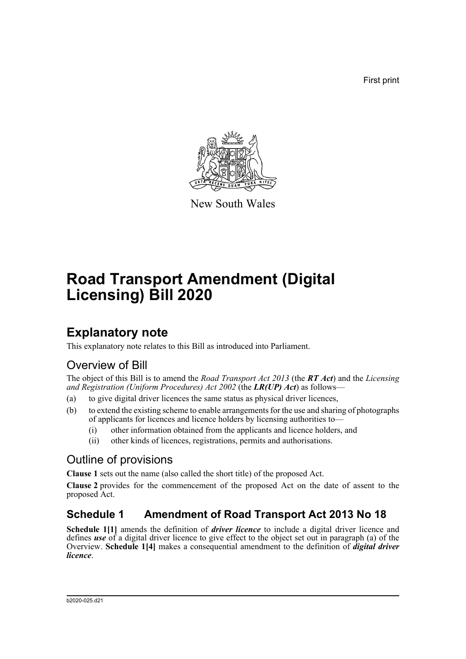First print



New South Wales

# **Road Transport Amendment (Digital Licensing) Bill 2020**

## **Explanatory note**

This explanatory note relates to this Bill as introduced into Parliament.

## Overview of Bill

The object of this Bill is to amend the *Road Transport Act 2013* (the *RT Act*) and the *Licensing and Registration (Uniform Procedures) Act 2002* (the *LR(UP) Act*) as follows—

- (a) to give digital driver licences the same status as physical driver licences,
- (b) to extend the existing scheme to enable arrangements for the use and sharing of photographs of applicants for licences and licence holders by licensing authorities to—
	- (i) other information obtained from the applicants and licence holders, and
	- (ii) other kinds of licences, registrations, permits and authorisations.

## Outline of provisions

**Clause 1** sets out the name (also called the short title) of the proposed Act.

**Clause 2** provides for the commencement of the proposed Act on the date of assent to the proposed Act.

## **Schedule 1 Amendment of Road Transport Act 2013 No 18**

**Schedule 1[1]** amends the definition of *driver licence* to include a digital driver licence and defines *use* of a digital driver licence to give effect to the object set out in paragraph (a) of the Overview. **Schedule 1[4]** makes a consequential amendment to the definition of *digital driver licence*.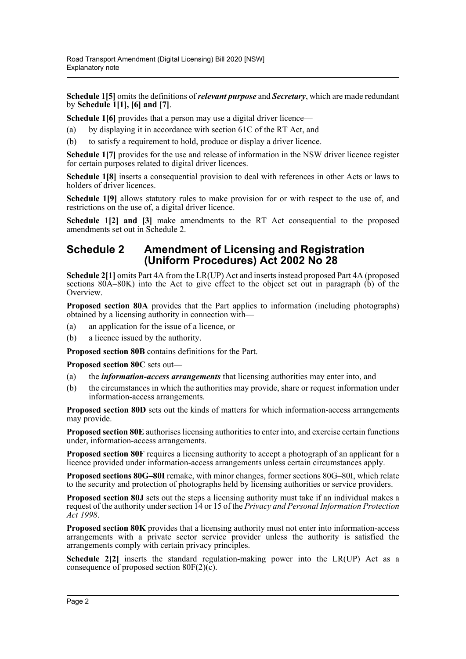**Schedule 1[5]** omits the definitions of *relevant purpose* and *Secretary*, which are made redundant by **Schedule 1[1], [6] and [7]**.

**Schedule 1[6]** provides that a person may use a digital driver licence—

- (a) by displaying it in accordance with section 61C of the RT Act, and
- (b) to satisfy a requirement to hold, produce or display a driver licence.

**Schedule 1[7]** provides for the use and release of information in the NSW driver licence register for certain purposes related to digital driver licences.

**Schedule 1[8]** inserts a consequential provision to deal with references in other Acts or laws to holders of driver licences.

**Schedule 1[9]** allows statutory rules to make provision for or with respect to the use of, and restrictions on the use of, a digital driver licence.

**Schedule 1[2] and [3]** make amendments to the RT Act consequential to the proposed amendments set out in Schedule 2.

### **Schedule 2 Amendment of Licensing and Registration (Uniform Procedures) Act 2002 No 28**

**Schedule 2[1]** omits Part 4A from the LR(UP) Act and inserts instead proposed Part 4A (proposed sections 80A–80K) into the Act to give effect to the object set out in paragraph (b) of the Overview.

**Proposed section 80A** provides that the Part applies to information (including photographs) obtained by a licensing authority in connection with—

- (a) an application for the issue of a licence, or
- (b) a licence issued by the authority.

**Proposed section 80B** contains definitions for the Part.

**Proposed section 80C** sets out—

- (a) the *information-access arrangements* that licensing authorities may enter into, and
- (b) the circumstances in which the authorities may provide, share or request information under information-access arrangements.

**Proposed section 80D** sets out the kinds of matters for which information-access arrangements may provide.

**Proposed section 80E** authorises licensing authorities to enter into, and exercise certain functions under, information-access arrangements.

**Proposed section 80F** requires a licensing authority to accept a photograph of an applicant for a licence provided under information-access arrangements unless certain circumstances apply.

**Proposed sections 80G–80I** remake, with minor changes, former sections 80G–80I, which relate to the security and protection of photographs held by licensing authorities or service providers.

**Proposed section 80J** sets out the steps a licensing authority must take if an individual makes a request of the authority under section 14 or 15 of the *Privacy and Personal Information Protection Act 1998*.

**Proposed section 80K** provides that a licensing authority must not enter into information-access arrangements with a private sector service provider unless the authority is satisfied the arrangements comply with certain privacy principles.

**Schedule 2[2]** inserts the standard regulation-making power into the LR(UP) Act as a consequence of proposed section  $80F(2)(c)$ .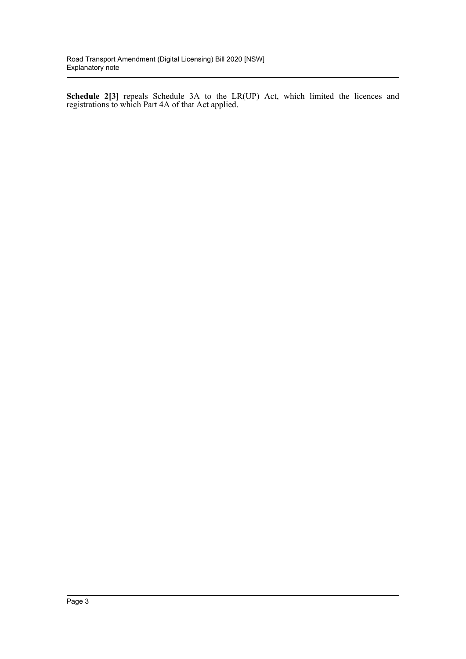**Schedule 2[3]** repeals Schedule 3A to the LR(UP) Act, which limited the licences and registrations to which Part 4A of that Act applied.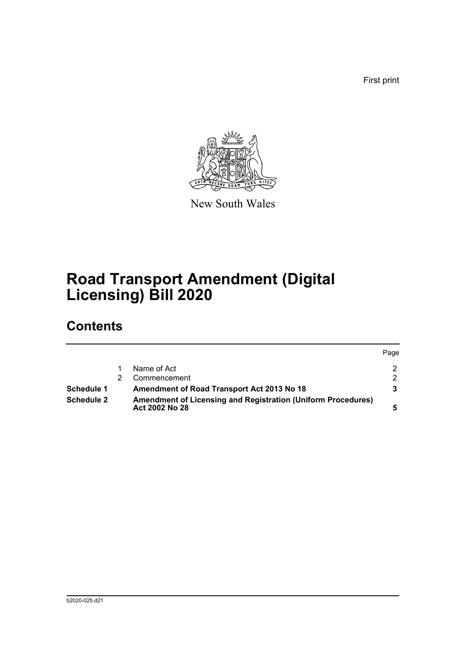First print



New South Wales

# **Road Transport Amendment (Digital Licensing) Bill 2020**

# **Contents**

|            |                                                                                       | Page          |
|------------|---------------------------------------------------------------------------------------|---------------|
|            | Name of Act                                                                           | $\mathcal{P}$ |
|            | Commencement                                                                          | $\mathcal{D}$ |
| Schedule 1 | Amendment of Road Transport Act 2013 No 18                                            |               |
| Schedule 2 | <b>Amendment of Licensing and Registration (Uniform Procedures)</b><br>Act 2002 No 28 |               |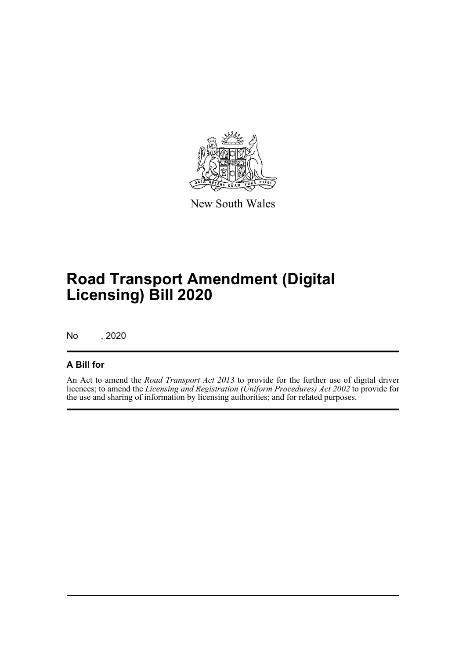

New South Wales

# **Road Transport Amendment (Digital Licensing) Bill 2020**

No , 2020

### **A Bill for**

An Act to amend the *Road Transport Act 2013* to provide for the further use of digital driver licences; to amend the *Licensing and Registration (Uniform Procedures) Act 2002* to provide for the use and sharing of information by licensing authorities; and for related purposes.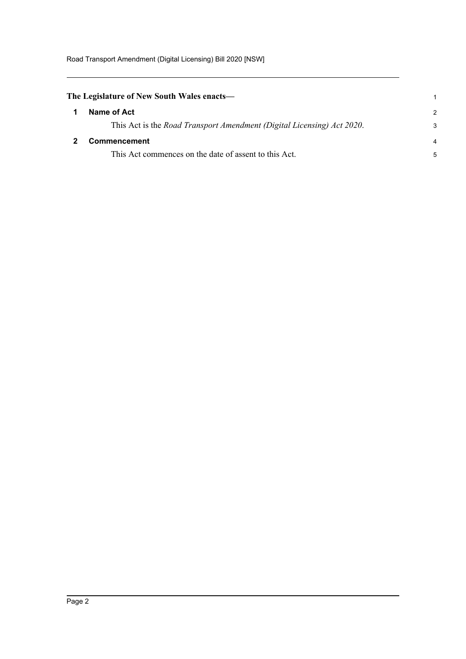Road Transport Amendment (Digital Licensing) Bill 2020 [NSW]

<span id="page-5-1"></span><span id="page-5-0"></span>

| The Legislature of New South Wales enacts—                             |               |  |
|------------------------------------------------------------------------|---------------|--|
| Name of Act                                                            | $\mathcal{P}$ |  |
| This Act is the Road Transport Amendment (Digital Licensing) Act 2020. | 3             |  |
| <b>Commencement</b>                                                    | 4             |  |
| This Act commences on the date of assent to this Act.                  | 5             |  |
|                                                                        |               |  |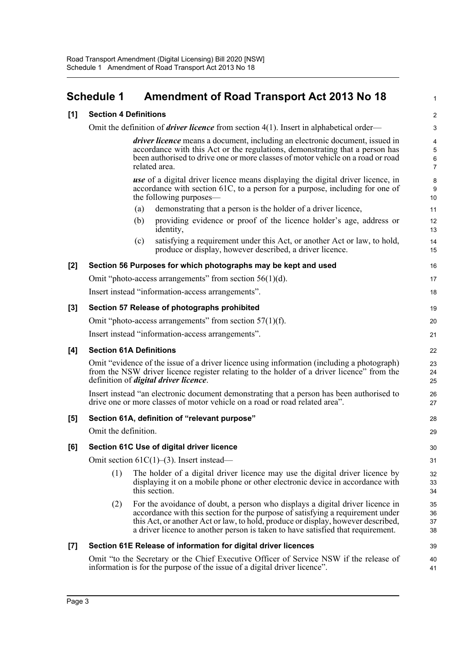### <span id="page-6-0"></span>**Schedule 1 Amendment of Road Transport Act 2013 No 18**

#### **[1] Section 4 Definitions**

Omit the definition of *driver licence* from section 4(1). Insert in alphabetical order—

*driver licence* means a document, including an electronic document, issued in accordance with this Act or the regulations, demonstrating that a person has been authorised to drive one or more classes of motor vehicle on a road or road related area.

1

 $28$ 29

*use* of a digital driver licence means displaying the digital driver licence, in accordance with section 61C, to a person for a purpose, including for one of the following purposes—

- (a) demonstrating that a person is the holder of a driver licence,
- (b) providing evidence or proof of the licence holder's age, address or identity,
- (c) satisfying a requirement under this Act, or another Act or law, to hold, produce or display, however described, a driver licence.

#### **[2] Section 56 Purposes for which photographs may be kept and used**

|     | Omit "photo-access arrangements" from section $56(1)(d)$ .<br>Insert instead "information-access arrangements". | 17<br>18 |
|-----|-----------------------------------------------------------------------------------------------------------------|----------|
| [3] | Section 57 Release of photographs prohibited                                                                    | 19       |
|     | Omit "photo-access arrangements" from section $57(1)(f)$ .                                                      | 20       |

Insert instead "information-access arrangements".

#### **[4] Section 61A Definitions**

Omit "evidence of the issue of a driver licence using information (including a photograph) from the NSW driver licence register relating to the holder of a driver licence" from the definition of *digital driver licence*.

Insert instead "an electronic document demonstrating that a person has been authorised to drive one or more classes of motor vehicle on a road or road related area".

#### **[5] Section 61A, definition of "relevant purpose"**

Omit the definition.

#### **[6] Section 61C Use of digital driver licence**

Omit section 61C(1)–(3). Insert instead—

- (1) The holder of a digital driver licence may use the digital driver licence by displaying it on a mobile phone or other electronic device in accordance with this section.
- (2) For the avoidance of doubt, a person who displays a digital driver licence in accordance with this section for the purpose of satisfying a requirement under this Act, or another Act or law, to hold, produce or display, however described, a driver licence to another person is taken to have satisfied that requirement.

#### **[7] Section 61E Release of information for digital driver licences**

Omit "to the Secretary or the Chief Executive Officer of Service NSW if the release of information is for the purpose of the issue of a digital driver licence".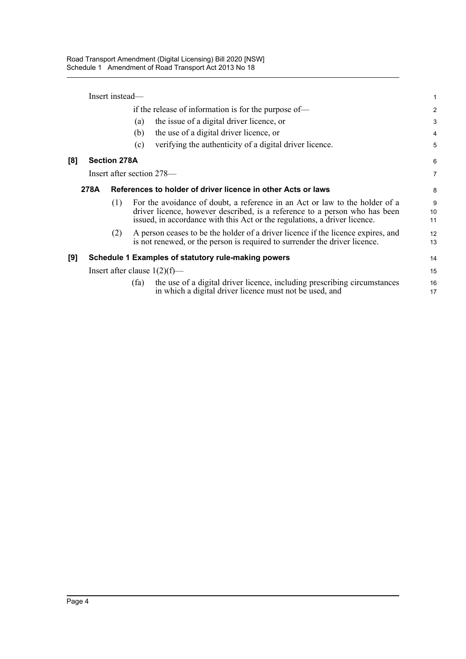Insert instead—

**[8]** 

| if the release of information is for the purpose of— |                                 |     |                                                                                                                                                                                                                                        | $\overline{2}$ |
|------------------------------------------------------|---------------------------------|-----|----------------------------------------------------------------------------------------------------------------------------------------------------------------------------------------------------------------------------------------|----------------|
|                                                      |                                 |     | the issue of a digital driver licence, or<br>(a)                                                                                                                                                                                       | 3              |
|                                                      |                                 |     | the use of a digital driver licence, or<br>(b)                                                                                                                                                                                         | 4              |
|                                                      |                                 |     | verifying the authenticity of a digital driver licence.<br>(c)                                                                                                                                                                         | 5              |
| [8]                                                  | <b>Section 278A</b>             |     |                                                                                                                                                                                                                                        | 6              |
|                                                      |                                 |     | Insert after section 278—                                                                                                                                                                                                              | 7              |
|                                                      | 278A                            |     | References to holder of driver licence in other Acts or laws                                                                                                                                                                           | 8              |
|                                                      |                                 | (1) | For the avoidance of doubt, a reference in an Act or law to the holder of a<br>driver licence, however described, is a reference to a person who has been<br>issued, in accordance with this Act or the regulations, a driver licence. | 9<br>10<br>11  |
|                                                      |                                 | (2) | A person ceases to be the holder of a driver licence if the licence expires, and<br>is not renewed, or the person is required to surrender the driver licence.                                                                         | 12<br>13       |
| [9]                                                  |                                 |     | Schedule 1 Examples of statutory rule-making powers                                                                                                                                                                                    | 14             |
|                                                      | Insert after clause $1(2)(f)$ — |     |                                                                                                                                                                                                                                        | 15             |
|                                                      |                                 |     | the use of a digital driver licence, including prescribing circumstances<br>(fa)<br>in which a digital driver licence must not be used, and                                                                                            | 16<br>17       |
|                                                      |                                 |     |                                                                                                                                                                                                                                        |                |

1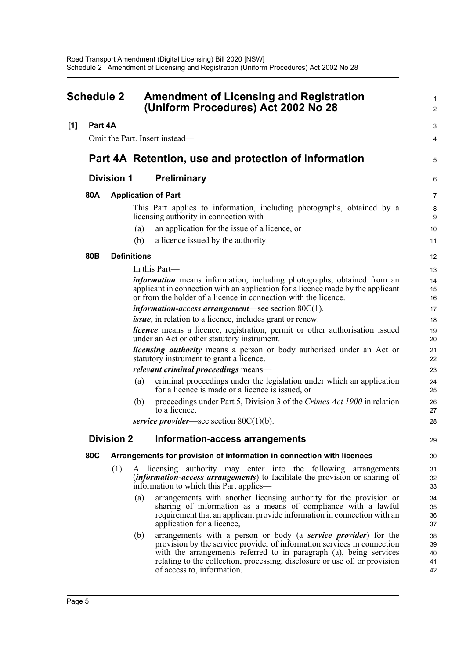<span id="page-8-0"></span>

| <b>Schedule 2</b> |                 |                   | <b>Amendment of Licensing and Registration</b><br>(Uniform Procedures) Act 2002 No 28                                                                                                                                                                                                                                                       |                            |
|-------------------|-----------------|-------------------|---------------------------------------------------------------------------------------------------------------------------------------------------------------------------------------------------------------------------------------------------------------------------------------------------------------------------------------------|----------------------------|
| [1]               | Part 4A         |                   |                                                                                                                                                                                                                                                                                                                                             | 3                          |
|                   |                 |                   | Omit the Part. Insert instead—                                                                                                                                                                                                                                                                                                              | 4                          |
|                   |                 |                   | Part 4A Retention, use and protection of information                                                                                                                                                                                                                                                                                        | 5                          |
|                   |                 | <b>Division 1</b> | <b>Preliminary</b>                                                                                                                                                                                                                                                                                                                          | 6                          |
|                   | 80A             |                   | <b>Application of Part</b>                                                                                                                                                                                                                                                                                                                  | 7                          |
|                   |                 |                   | This Part applies to information, including photographs, obtained by a<br>licensing authority in connection with—                                                                                                                                                                                                                           | 8<br>9                     |
|                   |                 |                   | an application for the issue of a licence, or<br>(a)                                                                                                                                                                                                                                                                                        | 10                         |
|                   |                 |                   | a licence issued by the authority.<br>(b)                                                                                                                                                                                                                                                                                                   | 11                         |
|                   | 80 <sub>B</sub> |                   | <b>Definitions</b>                                                                                                                                                                                                                                                                                                                          | 12                         |
|                   |                 |                   | In this Part—                                                                                                                                                                                                                                                                                                                               | 13                         |
|                   |                 |                   | <i>information</i> means information, including photographs, obtained from an<br>applicant in connection with an application for a licence made by the applicant<br>or from the holder of a licence in connection with the licence.                                                                                                         | 14<br>15<br>16             |
|                   |                 |                   | <i>information-access arrangement—see section 80C(1).</i>                                                                                                                                                                                                                                                                                   | 17                         |
|                   |                 |                   | <i>issue</i> , in relation to a licence, includes grant or renew.                                                                                                                                                                                                                                                                           | 18                         |
|                   |                 |                   | <i>licence</i> means a licence, registration, permit or other authorisation issued<br>under an Act or other statutory instrument.                                                                                                                                                                                                           | 19<br>20                   |
|                   |                 |                   | <i>licensing authority</i> means a person or body authorised under an Act or<br>statutory instrument to grant a licence.                                                                                                                                                                                                                    | 21<br>22                   |
|                   |                 |                   | <i>relevant criminal proceedings</i> means—                                                                                                                                                                                                                                                                                                 | 23                         |
|                   |                 |                   | criminal proceedings under the legislation under which an application<br>(a)<br>for a licence is made or a licence is issued, or                                                                                                                                                                                                            | 24<br>25                   |
|                   |                 |                   | proceedings under Part 5, Division 3 of the Crimes Act 1900 in relation<br>(b)<br>to a licence.                                                                                                                                                                                                                                             | 26<br>27                   |
|                   |                 |                   | service provider—see section $80C(1)(b)$ .                                                                                                                                                                                                                                                                                                  | 28                         |
|                   |                 |                   | Division 2 Information-access arrangements                                                                                                                                                                                                                                                                                                  | 29                         |
|                   | 80C             |                   | Arrangements for provision of information in connection with licences                                                                                                                                                                                                                                                                       | 30                         |
|                   |                 | (1)               | A licensing authority may enter into the following arrangements<br><i>(information-access arrangements)</i> to facilitate the provision or sharing of<br>information to which this Part applies—                                                                                                                                            | 31<br>32<br>33             |
|                   |                 |                   | arrangements with another licensing authority for the provision or<br>(a)<br>sharing of information as a means of compliance with a lawful<br>requirement that an applicant provide information in connection with an<br>application for a licence,                                                                                         | 34<br>35<br>36<br>37       |
|                   |                 |                   | arrangements with a person or body (a <b>service provider</b> ) for the<br>(b)<br>provision by the service provider of information services in connection<br>with the arrangements referred to in paragraph (a), being services<br>relating to the collection, processing, disclosure or use of, or provision<br>of access to, information. | 38<br>39<br>40<br>41<br>42 |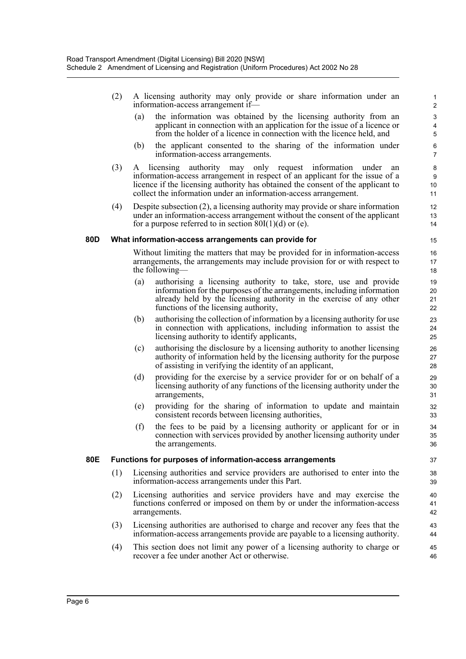- (2) A licensing authority may only provide or share information under an information-access arrangement if—
	- (a) the information was obtained by the licensing authority from an applicant in connection with an application for the issue of a licence or from the holder of a licence in connection with the licence held, and

- (b) the applicant consented to the sharing of the information under information-access arrangements.
- (3) A licensing authority may only request information under an information-access arrangement in respect of an applicant for the issue of a licence if the licensing authority has obtained the consent of the applicant to collect the information under an information-access arrangement.
- (4) Despite subsection (2), a licensing authority may provide or share information under an information-access arrangement without the consent of the applicant for a purpose referred to in section  $80I(1)(d)$  or (e).

#### **80D What information-access arrangements can provide for**

Without limiting the matters that may be provided for in information-access arrangements, the arrangements may include provision for or with respect to the following—

- (a) authorising a licensing authority to take, store, use and provide information for the purposes of the arrangements, including information already held by the licensing authority in the exercise of any other functions of the licensing authority,
- (b) authorising the collection of information by a licensing authority for use in connection with applications, including information to assist the licensing authority to identify applicants,
- (c) authorising the disclosure by a licensing authority to another licensing authority of information held by the licensing authority for the purpose of assisting in verifying the identity of an applicant,
- (d) providing for the exercise by a service provider for or on behalf of a licensing authority of any functions of the licensing authority under the arrangements,
- (e) providing for the sharing of information to update and maintain consistent records between licensing authorities,
- (f) the fees to be paid by a licensing authority or applicant for or in connection with services provided by another licensing authority under the arrangements.

#### **80E Functions for purposes of information-access arrangements**

- (1) Licensing authorities and service providers are authorised to enter into the information-access arrangements under this Part.
- (2) Licensing authorities and service providers have and may exercise the functions conferred or imposed on them by or under the information-access arrangements.
- (3) Licensing authorities are authorised to charge and recover any fees that the information-access arrangements provide are payable to a licensing authority.
- (4) This section does not limit any power of a licensing authority to charge or recover a fee under another Act or otherwise. 45 46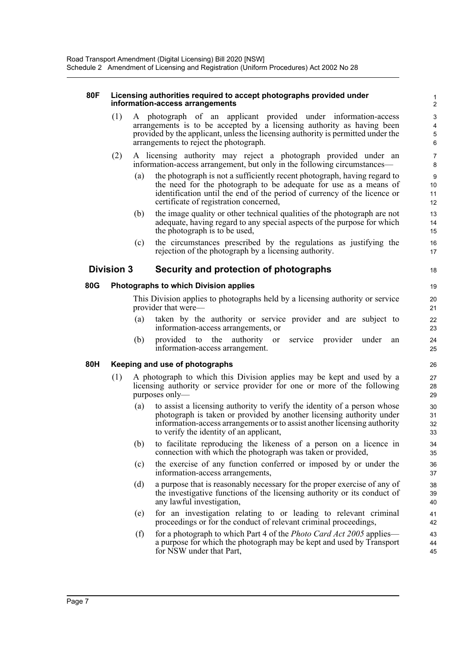#### **80F Licensing authorities required to accept photographs provided under information-access arrangements**

(1) A photograph of an applicant provided under information-access arrangements is to be accepted by a licensing authority as having been provided by the applicant, unless the licensing authority is permitted under the arrangements to reject the photograph.

18

- (2) A licensing authority may reject a photograph provided under an information-access arrangement, but only in the following circumstances—
	- (a) the photograph is not a sufficiently recent photograph, having regard to the need for the photograph to be adequate for use as a means of identification until the end of the period of currency of the licence or certificate of registration concerned,
	- (b) the image quality or other technical qualities of the photograph are not adequate, having regard to any special aspects of the purpose for which the photograph is to be used,
	- (c) the circumstances prescribed by the regulations as justifying the rejection of the photograph by a licensing authority.

#### **Division 3 Security and protection of photographs**

#### **80G Photographs to which Division applies**

This Division applies to photographs held by a licensing authority or service provider that were—

- (a) taken by the authority or service provider and are subject to information-access arrangements, or
- (b) provided to the authority or service provider under an information-access arrangement.

#### **80H Keeping and use of photographs**

- (1) A photograph to which this Division applies may be kept and used by a licensing authority or service provider for one or more of the following purposes only—
	- (a) to assist a licensing authority to verify the identity of a person whose photograph is taken or provided by another licensing authority under information-access arrangements or to assist another licensing authority to verify the identity of an applicant,
	- (b) to facilitate reproducing the likeness of a person on a licence in connection with which the photograph was taken or provided,
	- (c) the exercise of any function conferred or imposed by or under the information-access arrangements,
	- (d) a purpose that is reasonably necessary for the proper exercise of any of the investigative functions of the licensing authority or its conduct of any lawful investigation,
	- (e) for an investigation relating to or leading to relevant criminal proceedings or for the conduct of relevant criminal proceedings,
	- (f) for a photograph to which Part 4 of the *Photo Card Act 2005* applies a purpose for which the photograph may be kept and used by Transport for NSW under that Part,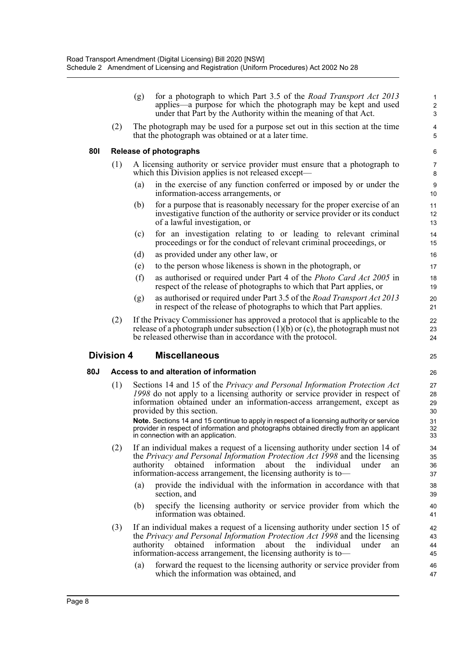|     |                                                                                                                                             | for a photograph to which Part 3.5 of the <i>Road Transport Act 2013</i><br>(g)<br>applies—a purpose for which the photograph may be kept and used<br>under that Part by the Authority within the meaning of that Act.                                                                                                                                                                                                                                                                         | $\mathbf{1}$<br>$\overline{2}$<br>3 |  |  |
|-----|---------------------------------------------------------------------------------------------------------------------------------------------|------------------------------------------------------------------------------------------------------------------------------------------------------------------------------------------------------------------------------------------------------------------------------------------------------------------------------------------------------------------------------------------------------------------------------------------------------------------------------------------------|-------------------------------------|--|--|
|     | (2)<br>The photograph may be used for a purpose set out in this section at the time<br>that the photograph was obtained or at a later time. |                                                                                                                                                                                                                                                                                                                                                                                                                                                                                                |                                     |  |  |
| 801 | <b>Release of photographs</b>                                                                                                               |                                                                                                                                                                                                                                                                                                                                                                                                                                                                                                |                                     |  |  |
|     | (1)                                                                                                                                         | A licensing authority or service provider must ensure that a photograph to<br>which this Division applies is not released except—                                                                                                                                                                                                                                                                                                                                                              | 7<br>8                              |  |  |
|     |                                                                                                                                             | in the exercise of any function conferred or imposed by or under the<br>(a)<br>information-access arrangements, or                                                                                                                                                                                                                                                                                                                                                                             | $\boldsymbol{9}$<br>10              |  |  |
|     |                                                                                                                                             | for a purpose that is reasonably necessary for the proper exercise of an<br>(b)<br>investigative function of the authority or service provider or its conduct<br>of a lawful investigation, or                                                                                                                                                                                                                                                                                                 | 11<br>12<br>13                      |  |  |
|     |                                                                                                                                             | for an investigation relating to or leading to relevant criminal<br>(c)<br>proceedings or for the conduct of relevant criminal proceedings, or                                                                                                                                                                                                                                                                                                                                                 | 14<br>15                            |  |  |
|     |                                                                                                                                             | (d)<br>as provided under any other law, or                                                                                                                                                                                                                                                                                                                                                                                                                                                     | 16                                  |  |  |
|     |                                                                                                                                             | to the person whose likeness is shown in the photograph, or<br>(e)                                                                                                                                                                                                                                                                                                                                                                                                                             | 17                                  |  |  |
|     |                                                                                                                                             | (f)<br>as authorised or required under Part 4 of the Photo Card Act 2005 in<br>respect of the release of photographs to which that Part applies, or                                                                                                                                                                                                                                                                                                                                            | 18<br>19                            |  |  |
|     |                                                                                                                                             | as authorised or required under Part 3.5 of the <i>Road Transport Act 2013</i><br>(g)<br>in respect of the release of photographs to which that Part applies.                                                                                                                                                                                                                                                                                                                                  | 20<br>21                            |  |  |
|     | (2)                                                                                                                                         | If the Privacy Commissioner has approved a protocol that is applicable to the<br>release of a photograph under subsection $(1)(b)$ or $(c)$ , the photograph must not<br>be released otherwise than in accordance with the protocol.                                                                                                                                                                                                                                                           | 22<br>23<br>24                      |  |  |
|     | <b>Division 4</b>                                                                                                                           | <b>Miscellaneous</b>                                                                                                                                                                                                                                                                                                                                                                                                                                                                           | 25                                  |  |  |
| 80J |                                                                                                                                             | Access to and alteration of information                                                                                                                                                                                                                                                                                                                                                                                                                                                        | 26                                  |  |  |
|     | (1)                                                                                                                                         | Sections 14 and 15 of the Privacy and Personal Information Protection Act<br>1998 do not apply to a licensing authority or service provider in respect of<br>information obtained under an information-access arrangement, except as<br>provided by this section.<br>Note. Sections 14 and 15 continue to apply in respect of a licensing authority or service<br>provider in respect of information and photographs obtained directly from an applicant<br>in connection with an application. |                                     |  |  |
|     | (2)                                                                                                                                         | If an individual makes a request of a licensing authority under section 14 of<br>the Privacy and Personal Information Protection Act 1998 and the licensing<br>authority obtained information<br>about<br>the<br>individual<br>under<br>an<br>information-access arrangement, the licensing authority is to-                                                                                                                                                                                   | 34<br>35<br>36<br>37                |  |  |
|     |                                                                                                                                             | provide the individual with the information in accordance with that<br>(a)<br>section, and                                                                                                                                                                                                                                                                                                                                                                                                     | 38<br>39                            |  |  |
|     |                                                                                                                                             | specify the licensing authority or service provider from which the<br>(b)<br>information was obtained.                                                                                                                                                                                                                                                                                                                                                                                         | 40<br>41                            |  |  |
|     | (3)                                                                                                                                         | If an individual makes a request of a licensing authority under section 15 of<br>the Privacy and Personal Information Protection Act 1998 and the licensing<br>authority obtained information<br>about<br>the individual<br>under<br>an                                                                                                                                                                                                                                                        | 42<br>43<br>44                      |  |  |
|     |                                                                                                                                             | information-access arrangement, the licensing authority is to-                                                                                                                                                                                                                                                                                                                                                                                                                                 | 45                                  |  |  |
|     |                                                                                                                                             | forward the request to the licensing authority or service provider from<br>(a)                                                                                                                                                                                                                                                                                                                                                                                                                 | 46                                  |  |  |

47